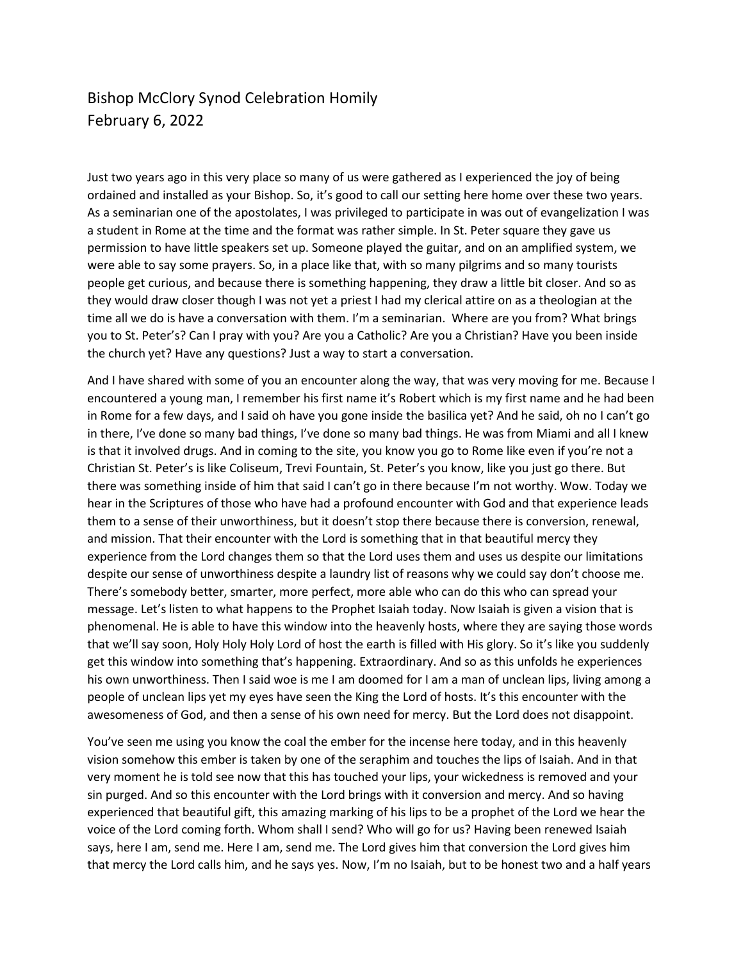## Bishop McClory Synod Celebration Homily February 6, 2022

Just two years ago in this very place so many of us were gathered as I experienced the joy of being ordained and installed as your Bishop. So, it's good to call our setting here home over these two years. As a seminarian one of the apostolates, I was privileged to participate in was out of evangelization I was a student in Rome at the time and the format was rather simple. In St. Peter square they gave us permission to have little speakers set up. Someone played the guitar, and on an amplified system, we were able to say some prayers. So, in a place like that, with so many pilgrims and so many tourists people get curious, and because there is something happening, they draw a little bit closer. And so as they would draw closer though I was not yet a priest I had my clerical attire on as a theologian at the time all we do is have a conversation with them. I'm a seminarian. Where are you from? What brings you to St. Peter's? Can I pray with you? Are you a Catholic? Are you a Christian? Have you been inside the church yet? Have any questions? Just a way to start a conversation.

And I have shared with some of you an encounter along the way, that was very moving for me. Because I encountered a young man, I remember his first name it's Robert which is my first name and he had been in Rome for a few days, and I said oh have you gone inside the basilica yet? And he said, oh no I can't go in there, I've done so many bad things, I've done so many bad things. He was from Miami and all I knew is that it involved drugs. And in coming to the site, you know you go to Rome like even if you're not a Christian St. Peter's is like Coliseum, Trevi Fountain, St. Peter's you know, like you just go there. But there was something inside of him that said I can't go in there because I'm not worthy. Wow. Today we hear in the Scriptures of those who have had a profound encounter with God and that experience leads them to a sense of their unworthiness, but it doesn't stop there because there is conversion, renewal, and mission. That their encounter with the Lord is something that in that beautiful mercy they experience from the Lord changes them so that the Lord uses them and uses us despite our limitations despite our sense of unworthiness despite a laundry list of reasons why we could say don't choose me. There's somebody better, smarter, more perfect, more able who can do this who can spread your message. Let's listen to what happens to the Prophet Isaiah today. Now Isaiah is given a vision that is phenomenal. He is able to have this window into the heavenly hosts, where they are saying those words that we'll say soon, Holy Holy Holy Lord of host the earth is filled with His glory. So it's like you suddenly get this window into something that's happening. Extraordinary. And so as this unfolds he experiences his own unworthiness. Then I said woe is me I am doomed for I am a man of unclean lips, living among a people of unclean lips yet my eyes have seen the King the Lord of hosts. It's this encounter with the awesomeness of God, and then a sense of his own need for mercy. But the Lord does not disappoint.

You've seen me using you know the coal the ember for the incense here today, and in this heavenly vision somehow this ember is taken by one of the seraphim and touches the lips of Isaiah. And in that very moment he is told see now that this has touched your lips, your wickedness is removed and your sin purged. And so this encounter with the Lord brings with it conversion and mercy. And so having experienced that beautiful gift, this amazing marking of his lips to be a prophet of the Lord we hear the voice of the Lord coming forth. Whom shall I send? Who will go for us? Having been renewed Isaiah says, here I am, send me. Here I am, send me. The Lord gives him that conversion the Lord gives him that mercy the Lord calls him, and he says yes. Now, I'm no Isaiah, but to be honest two and a half years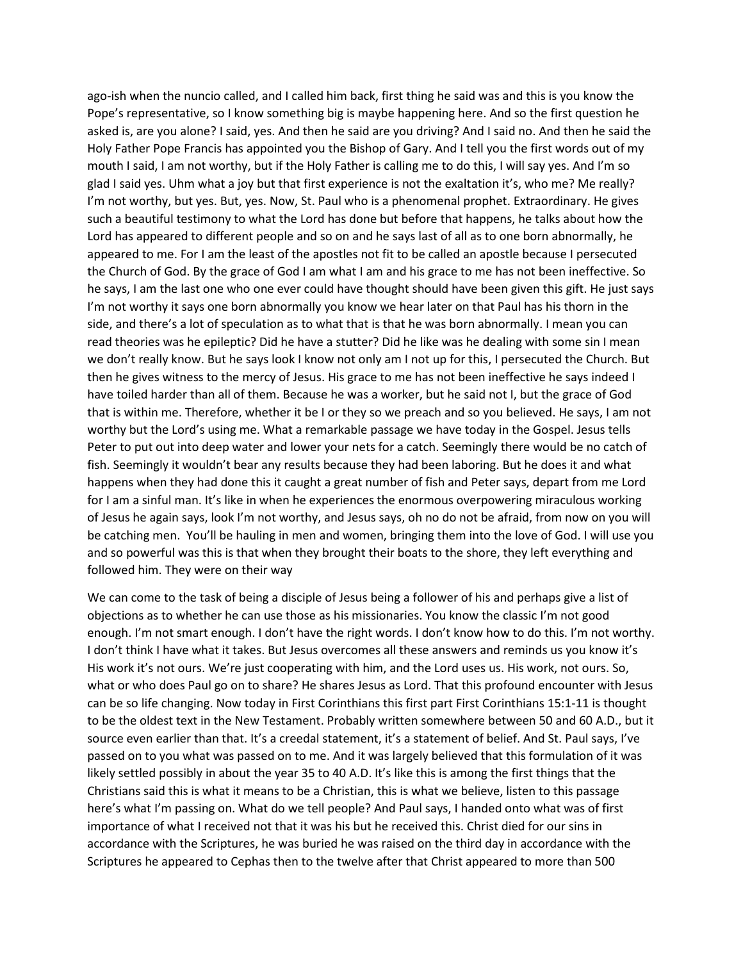ago-ish when the nuncio called, and I called him back, first thing he said was and this is you know the Pope's representative, so I know something big is maybe happening here. And so the first question he asked is, are you alone? I said, yes. And then he said are you driving? And I said no. And then he said the Holy Father Pope Francis has appointed you the Bishop of Gary. And I tell you the first words out of my mouth I said, I am not worthy, but if the Holy Father is calling me to do this, I will say yes. And I'm so glad I said yes. Uhm what a joy but that first experience is not the exaltation it's, who me? Me really? I'm not worthy, but yes. But, yes. Now, St. Paul who is a phenomenal prophet. Extraordinary. He gives such a beautiful testimony to what the Lord has done but before that happens, he talks about how the Lord has appeared to different people and so on and he says last of all as to one born abnormally, he appeared to me. For I am the least of the apostles not fit to be called an apostle because I persecuted the Church of God. By the grace of God I am what I am and his grace to me has not been ineffective. So he says, I am the last one who one ever could have thought should have been given this gift. He just says I'm not worthy it says one born abnormally you know we hear later on that Paul has his thorn in the side, and there's a lot of speculation as to what that is that he was born abnormally. I mean you can read theories was he epileptic? Did he have a stutter? Did he like was he dealing with some sin I mean we don't really know. But he says look I know not only am I not up for this, I persecuted the Church. But then he gives witness to the mercy of Jesus. His grace to me has not been ineffective he says indeed I have toiled harder than all of them. Because he was a worker, but he said not I, but the grace of God that is within me. Therefore, whether it be I or they so we preach and so you believed. He says, I am not worthy but the Lord's using me. What a remarkable passage we have today in the Gospel. Jesus tells Peter to put out into deep water and lower your nets for a catch. Seemingly there would be no catch of fish. Seemingly it wouldn't bear any results because they had been laboring. But he does it and what happens when they had done this it caught a great number of fish and Peter says, depart from me Lord for I am a sinful man. It's like in when he experiences the enormous overpowering miraculous working of Jesus he again says, look I'm not worthy, and Jesus says, oh no do not be afraid, from now on you will be catching men. You'll be hauling in men and women, bringing them into the love of God. I will use you and so powerful was this is that when they brought their boats to the shore, they left everything and followed him. They were on their way

We can come to the task of being a disciple of Jesus being a follower of his and perhaps give a list of objections as to whether he can use those as his missionaries. You know the classic I'm not good enough. I'm not smart enough. I don't have the right words. I don't know how to do this. I'm not worthy. I don't think I have what it takes. But Jesus overcomes all these answers and reminds us you know it's His work it's not ours. We're just cooperating with him, and the Lord uses us. His work, not ours. So, what or who does Paul go on to share? He shares Jesus as Lord. That this profound encounter with Jesus can be so life changing. Now today in First Corinthians this first part First Corinthians 15:1-11 is thought to be the oldest text in the New Testament. Probably written somewhere between 50 and 60 A.D., but it source even earlier than that. It's a creedal statement, it's a statement of belief. And St. Paul says, I've passed on to you what was passed on to me. And it was largely believed that this formulation of it was likely settled possibly in about the year 35 to 40 A.D. It's like this is among the first things that the Christians said this is what it means to be a Christian, this is what we believe, listen to this passage here's what I'm passing on. What do we tell people? And Paul says, I handed onto what was of first importance of what I received not that it was his but he received this. Christ died for our sins in accordance with the Scriptures, he was buried he was raised on the third day in accordance with the Scriptures he appeared to Cephas then to the twelve after that Christ appeared to more than 500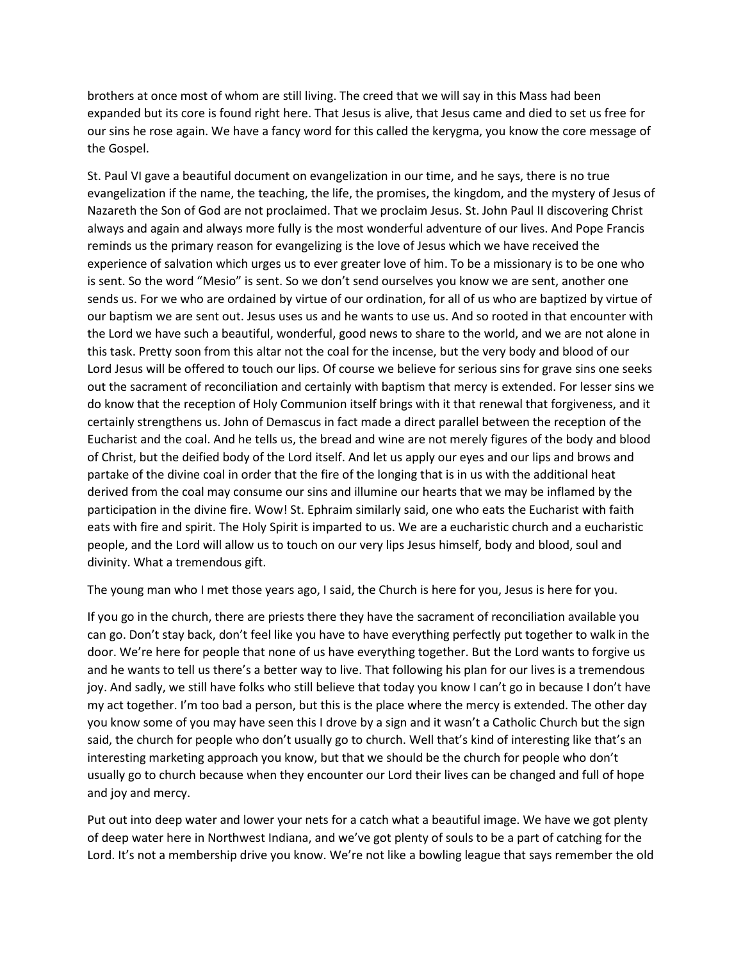brothers at once most of whom are still living. The creed that we will say in this Mass had been expanded but its core is found right here. That Jesus is alive, that Jesus came and died to set us free for our sins he rose again. We have a fancy word for this called the kerygma, you know the core message of the Gospel.

St. Paul VI gave a beautiful document on evangelization in our time, and he says, there is no true evangelization if the name, the teaching, the life, the promises, the kingdom, and the mystery of Jesus of Nazareth the Son of God are not proclaimed. That we proclaim Jesus. St. John Paul II discovering Christ always and again and always more fully is the most wonderful adventure of our lives. And Pope Francis reminds us the primary reason for evangelizing is the love of Jesus which we have received the experience of salvation which urges us to ever greater love of him. To be a missionary is to be one who is sent. So the word "Mesio" is sent. So we don't send ourselves you know we are sent, another one sends us. For we who are ordained by virtue of our ordination, for all of us who are baptized by virtue of our baptism we are sent out. Jesus uses us and he wants to use us. And so rooted in that encounter with the Lord we have such a beautiful, wonderful, good news to share to the world, and we are not alone in this task. Pretty soon from this altar not the coal for the incense, but the very body and blood of our Lord Jesus will be offered to touch our lips. Of course we believe for serious sins for grave sins one seeks out the sacrament of reconciliation and certainly with baptism that mercy is extended. For lesser sins we do know that the reception of Holy Communion itself brings with it that renewal that forgiveness, and it certainly strengthens us. John of Demascus in fact made a direct parallel between the reception of the Eucharist and the coal. And he tells us, the bread and wine are not merely figures of the body and blood of Christ, but the deified body of the Lord itself. And let us apply our eyes and our lips and brows and partake of the divine coal in order that the fire of the longing that is in us with the additional heat derived from the coal may consume our sins and illumine our hearts that we may be inflamed by the participation in the divine fire. Wow! St. Ephraim similarly said, one who eats the Eucharist with faith eats with fire and spirit. The Holy Spirit is imparted to us. We are a eucharistic church and a eucharistic people, and the Lord will allow us to touch on our very lips Jesus himself, body and blood, soul and divinity. What a tremendous gift.

The young man who I met those years ago, I said, the Church is here for you, Jesus is here for you.

If you go in the church, there are priests there they have the sacrament of reconciliation available you can go. Don't stay back, don't feel like you have to have everything perfectly put together to walk in the door. We're here for people that none of us have everything together. But the Lord wants to forgive us and he wants to tell us there's a better way to live. That following his plan for our lives is a tremendous joy. And sadly, we still have folks who still believe that today you know I can't go in because I don't have my act together. I'm too bad a person, but this is the place where the mercy is extended. The other day you know some of you may have seen this I drove by a sign and it wasn't a Catholic Church but the sign said, the church for people who don't usually go to church. Well that's kind of interesting like that's an interesting marketing approach you know, but that we should be the church for people who don't usually go to church because when they encounter our Lord their lives can be changed and full of hope and joy and mercy.

Put out into deep water and lower your nets for a catch what a beautiful image. We have we got plenty of deep water here in Northwest Indiana, and we've got plenty of souls to be a part of catching for the Lord. It's not a membership drive you know. We're not like a bowling league that says remember the old